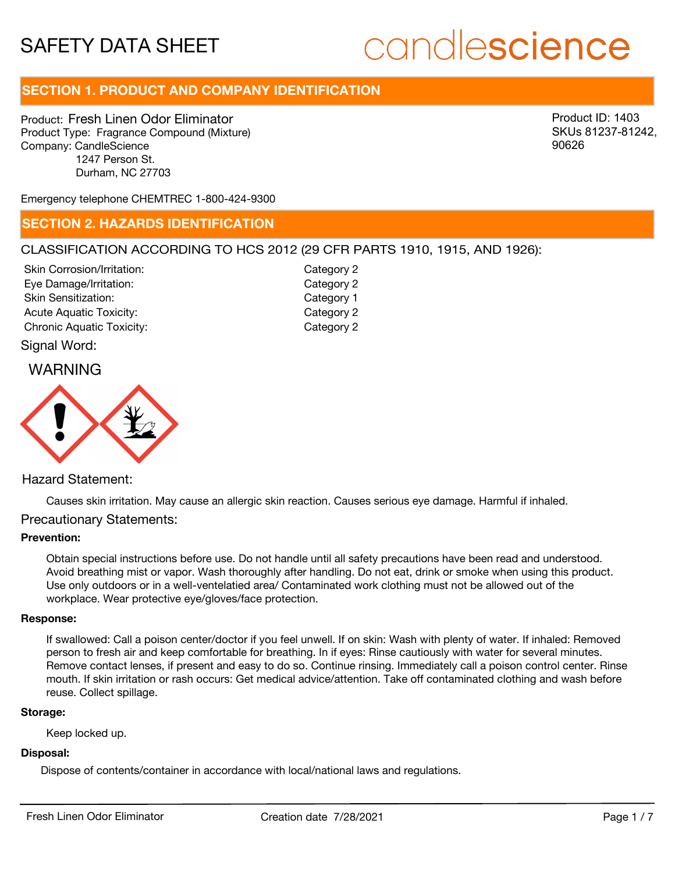# candlescience

## **SECTION 1. PRODUCT AND COMPANY IDENTIFICATION**

Product: Fresh Linen Odor Eliminator Product Type: Fragrance Compound (Mixture) Company: CandleScience 1247 Person St. Durham, NC 27703

Product ID: 1403 SKUs 81237-81242, 90626

Emergency telephone CHEMTREC 1-800-424-9300

## **SECTION 2. HAZARDS IDENTIFICATION**

## CLASSIFICATION ACCORDING TO HCS 2012 (29 CFR PARTS 1910, 1915, AND 1926):

| Skin Corrosion/Irritation:       |  |
|----------------------------------|--|
| Eye Damage/Irritation:           |  |
| Skin Sensitization:              |  |
| <b>Acute Aquatic Toxicity:</b>   |  |
| <b>Chronic Aquatic Toxicity:</b> |  |

Category 2 Category 2 Category 1 Category 2 Category 2

## Signal Word:





## Hazard Statement:

Causes skin irritation. May cause an allergic skin reaction. Causes serious eye damage. Harmful if inhaled.

## Precautionary Statements:

## **Prevention:**

Obtain special instructions before use. Do not handle until all safety precautions have been read and understood. Avoid breathing mist or vapor. Wash thoroughly after handling. Do not eat, drink or smoke when using this product. Use only outdoors or in a well-ventelatied area/ Contaminated work clothing must not be allowed out of the workplace. Wear protective eye/gloves/face protection.

#### **Response:**

If swallowed: Call a poison center/doctor if you feel unwell. If on skin: Wash with plenty of water. If inhaled: Removed person to fresh air and keep comfortable for breathing. In if eyes: Rinse cautiously with water for several minutes. Remove contact lenses, if present and easy to do so. Continue rinsing. Immediately call a poison control center. Rinse mouth. If skin irritation or rash occurs: Get medical advice/attention. Take off contaminated clothing and wash before reuse. Collect spillage.

#### **Storage:**

Keep locked up.

### **Disposal:**

Dispose of contents/container in accordance with local/national laws and regulations.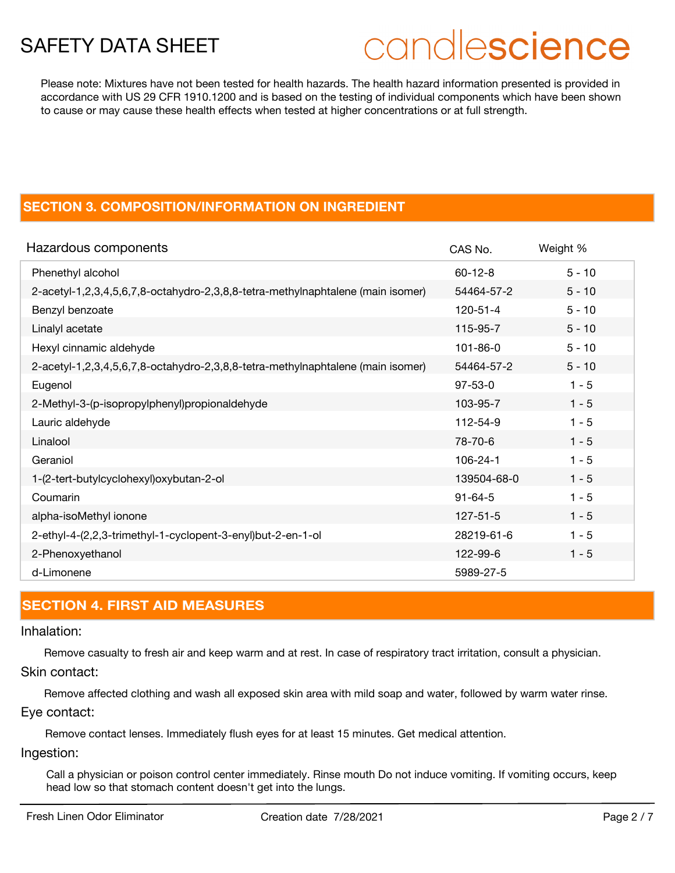## candlescience

Please note: Mixtures have not been tested for health hazards. The health hazard information presented is provided in accordance with US 29 CFR 1910.1200 and is based on the testing of individual components which have been shown to cause or may cause these health effects when tested at higher concentrations or at full strength.

## **SECTION 3. COMPOSITION/INFORMATION ON INGREDIENT**

| Hazardous components                                                            | CAS No.        | Weight % |
|---------------------------------------------------------------------------------|----------------|----------|
| Phenethyl alcohol                                                               | $60 - 12 - 8$  | $5 - 10$ |
| 2-acetyl-1,2,3,4,5,6,7,8-octahydro-2,3,8,8-tetra-methylnaphtalene (main isomer) | 54464-57-2     | $5 - 10$ |
| Benzyl benzoate                                                                 | $120 - 51 - 4$ | $5 - 10$ |
| Linalyl acetate                                                                 | 115-95-7       | $5 - 10$ |
| Hexyl cinnamic aldehyde                                                         | $101 - 86 - 0$ | $5 - 10$ |
| 2-acetyl-1,2,3,4,5,6,7,8-octahydro-2,3,8,8-tetra-methylnaphtalene (main isomer) | 54464-57-2     | $5 - 10$ |
| Eugenol                                                                         | $97 - 53 - 0$  | $1 - 5$  |
| 2-Methyl-3-(p-isopropylphenyl)propionaldehyde                                   | 103-95-7       | $1 - 5$  |
| Lauric aldehyde                                                                 | 112-54-9       | $1 - 5$  |
| Linalool                                                                        | 78-70-6        | $1 - 5$  |
| Geraniol                                                                        | $106 - 24 - 1$ | $1 - 5$  |
| 1-(2-tert-butylcyclohexyl)oxybutan-2-ol                                         | 139504-68-0    | $1 - 5$  |
| Coumarin                                                                        | $91 - 64 - 5$  | $1 - 5$  |
| alpha-isoMethyl ionone                                                          | $127 - 51 - 5$ | $1 - 5$  |
| 2-ethyl-4-(2,2,3-trimethyl-1-cyclopent-3-enyl)but-2-en-1-ol                     | 28219-61-6     | $1 - 5$  |
| 2-Phenoxyethanol                                                                | 122-99-6       | $1 - 5$  |
| d-Limonene                                                                      | 5989-27-5      |          |

## **SECTION 4. FIRST AID MEASURES**

## Inhalation:

Remove casualty to fresh air and keep warm and at rest. In case of respiratory tract irritation, consult a physician.

Skin contact:

Remove affected clothing and wash all exposed skin area with mild soap and water, followed by warm water rinse. Eye contact:

Remove contact lenses. Immediately flush eyes for at least 15 minutes. Get medical attention.

Ingestion:

Call a physician or poison control center immediately. Rinse mouth Do not induce vomiting. If vomiting occurs, keep head low so that stomach content doesn't get into the lungs.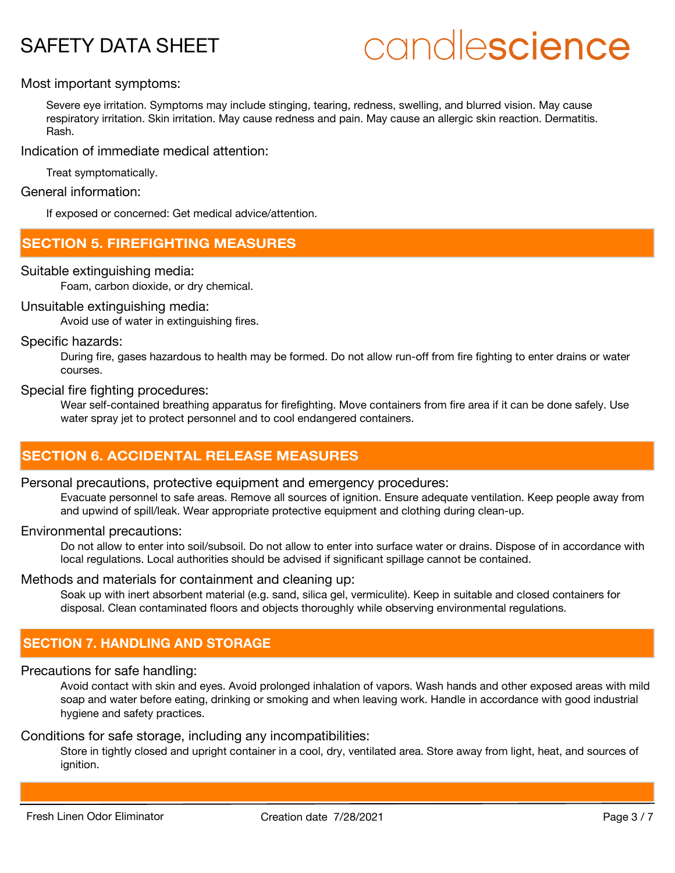# candlescience

## Most important symptoms:

Severe eye irritation. Symptoms may include stinging, tearing, redness, swelling, and blurred vision. May cause respiratory irritation. Skin irritation. May cause redness and pain. May cause an allergic skin reaction. Dermatitis. Rash.

Indication of immediate medical attention:

Treat symptomatically.

General information:

If exposed or concerned: Get medical advice/attention.

## **SECTION 5. FIREFIGHTING MEASURES**

## Suitable extinguishing media:

Foam, carbon dioxide, or dry chemical.

### Unsuitable extinguishing media:

Avoid use of water in extinguishing fires.

### Specific hazards:

During fire, gases hazardous to health may be formed. Do not allow run-off from fire fighting to enter drains or water courses.

### Special fire fighting procedures:

Wear self-contained breathing apparatus for firefighting. Move containers from fire area if it can be done safely. Use water spray jet to protect personnel and to cool endangered containers.

## **SECTION 6. ACCIDENTAL RELEASE MEASURES**

### Personal precautions, protective equipment and emergency procedures:

Evacuate personnel to safe areas. Remove all sources of ignition. Ensure adequate ventilation. Keep people away from and upwind of spill/leak. Wear appropriate protective equipment and clothing during clean-up.

### Environmental precautions:

Do not allow to enter into soil/subsoil. Do not allow to enter into surface water or drains. Dispose of in accordance with local regulations. Local authorities should be advised if significant spillage cannot be contained.

## Methods and materials for containment and cleaning up:

Soak up with inert absorbent material (e.g. sand, silica gel, vermiculite). Keep in suitable and closed containers for disposal. Clean contaminated floors and objects thoroughly while observing environmental regulations.

## **SECTION 7. HANDLING AND STORAGE**

### Precautions for safe handling:

Avoid contact with skin and eyes. Avoid prolonged inhalation of vapors. Wash hands and other exposed areas with mild soap and water before eating, drinking or smoking and when leaving work. Handle in accordance with good industrial hygiene and safety practices.

## Conditions for safe storage, including any incompatibilities:

Store in tightly closed and upright container in a cool, dry, ventilated area. Store away from light, heat, and sources of ignition.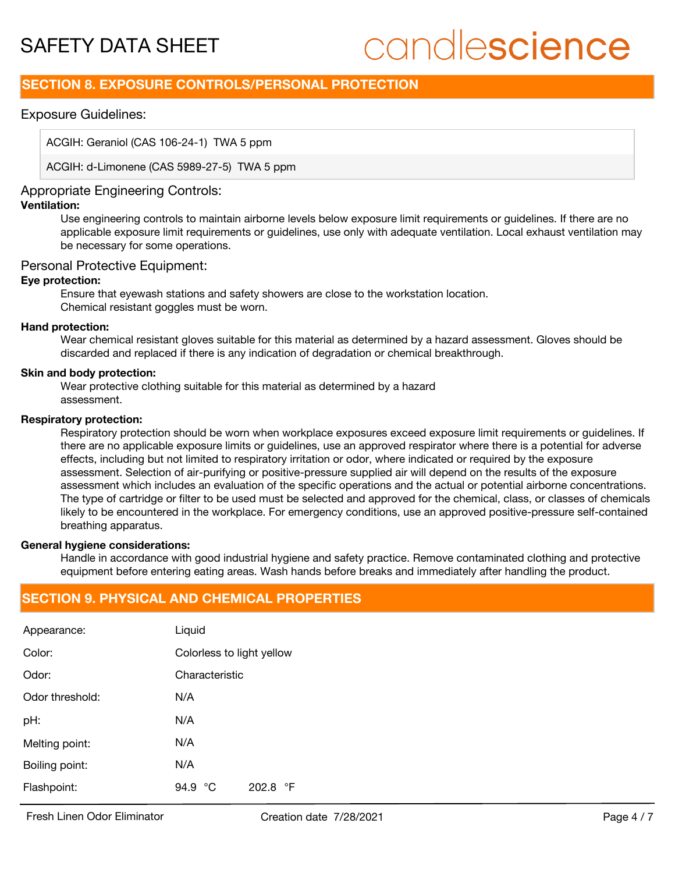# candlescience

## **SECTION 8. EXPOSURE CONTROLS/PERSONAL PROTECTION**

## Exposure Guidelines:

ACGIH: Geraniol (CAS 106-24-1) TWA 5 ppm

ACGIH: d-Limonene (CAS 5989-27-5) TWA 5 ppm

## Appropriate Engineering Controls:

## **Ventilation:**

Use engineering controls to maintain airborne levels below exposure limit requirements or guidelines. If there are no applicable exposure limit requirements or guidelines, use only with adequate ventilation. Local exhaust ventilation may be necessary for some operations.

## Personal Protective Equipment:

### **Eye protection:**

Ensure that eyewash stations and safety showers are close to the workstation location. Chemical resistant goggles must be worn.

### **Hand protection:**

Wear chemical resistant gloves suitable for this material as determined by a hazard assessment. Gloves should be discarded and replaced if there is any indication of degradation or chemical breakthrough.

### **Skin and body protection:**

Wear protective clothing suitable for this material as determined by a hazard assessment.

### **Respiratory protection:**

Respiratory protection should be worn when workplace exposures exceed exposure limit requirements or guidelines. If there are no applicable exposure limits or guidelines, use an approved respirator where there is a potential for adverse effects, including but not limited to respiratory irritation or odor, where indicated or required by the exposure assessment. Selection of air-purifying or positive-pressure supplied air will depend on the results of the exposure assessment which includes an evaluation of the specific operations and the actual or potential airborne concentrations. The type of cartridge or filter to be used must be selected and approved for the chemical, class, or classes of chemicals likely to be encountered in the workplace. For emergency conditions, use an approved positive-pressure self-contained breathing apparatus.

## **General hygiene considerations:**

Handle in accordance with good industrial hygiene and safety practice. Remove contaminated clothing and protective equipment before entering eating areas. Wash hands before breaks and immediately after handling the product.

## **SECTION 9. PHYSICAL AND CHEMICAL PROPERTIES**

| Appearance:     | Liquid                    |                   |
|-----------------|---------------------------|-------------------|
| Color:          | Colorless to light yellow |                   |
| Odor:           | Characteristic            |                   |
| Odor threshold: | N/A                       |                   |
| pH:             | N/A                       |                   |
| Melting point:  | N/A                       |                   |
| Boiling point:  | N/A                       |                   |
| Flashpoint:     | 94.9 °C                   | 202.8 $\degree$ F |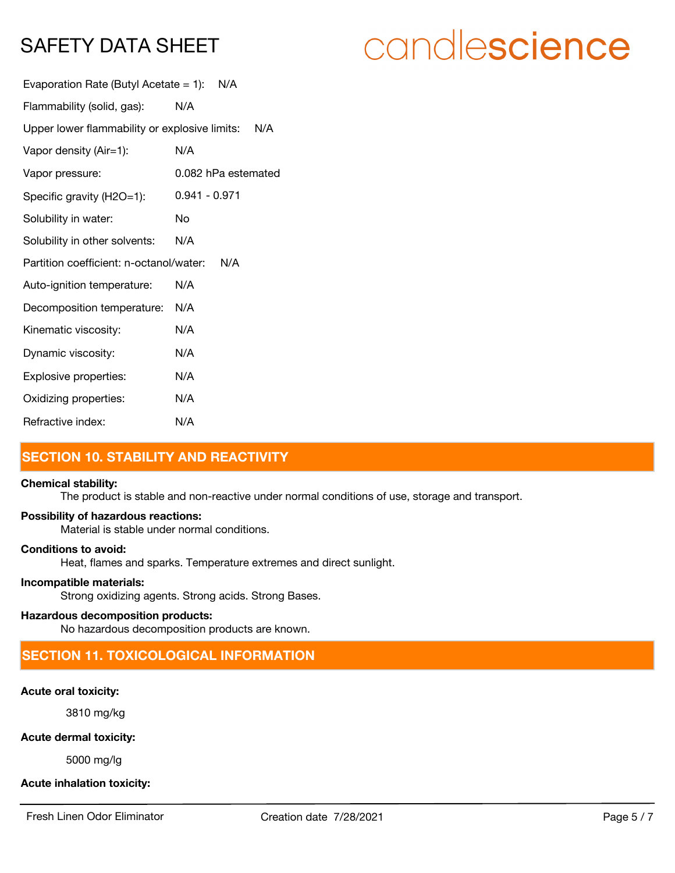# candlescience

| Evaporation Rate (Butyl Acetate = 1): $N/A$       |                     |
|---------------------------------------------------|---------------------|
| Flammability (solid, gas):                        | N/A                 |
| Upper lower flammability or explosive limits: N/A |                     |
| Vapor density (Air=1):                            | N/A                 |
| Vapor pressure:                                   | 0.082 hPa estemated |
| Specific gravity (H2O=1):                         | 0.941 - 0.971       |
| Solubility in water:                              | No                  |
| Solubility in other solvents:                     | N/A                 |
| Partition coefficient: n-octanol/water:           | N/A                 |
| Auto-ignition temperature:                        | N/A                 |
| Decomposition temperature:                        | N/A                 |
| Kinematic viscosity:                              | N/A                 |
| Dynamic viscosity:                                | N/A                 |
| Explosive properties:                             | N/A                 |
| Oxidizing properties:                             | N/A                 |
| Refractive index:                                 | N/A                 |

## **SECTION 10. STABILITY AND REACTIVITY**

### **Chemical stability:**

The product is stable and non-reactive under normal conditions of use, storage and transport.

## **Possibility of hazardous reactions:**

Material is stable under normal conditions.

## **Conditions to avoid:**

Heat, flames and sparks. Temperature extremes and direct sunlight.

## **Incompatible materials:**

Strong oxidizing agents. Strong acids. Strong Bases.

## **Hazardous decomposition products:**

No hazardous decomposition products are known.

## **SECTION 11. TOXICOLOGICAL INFORMATION**

## **Acute oral toxicity:**

3810 mg/kg

## **Acute dermal toxicity:**

5000 mg/lg

## **Acute inhalation toxicity:**

Fresh Linen Odor Eliminator Creation date 7/28/2021 Page 5 / 7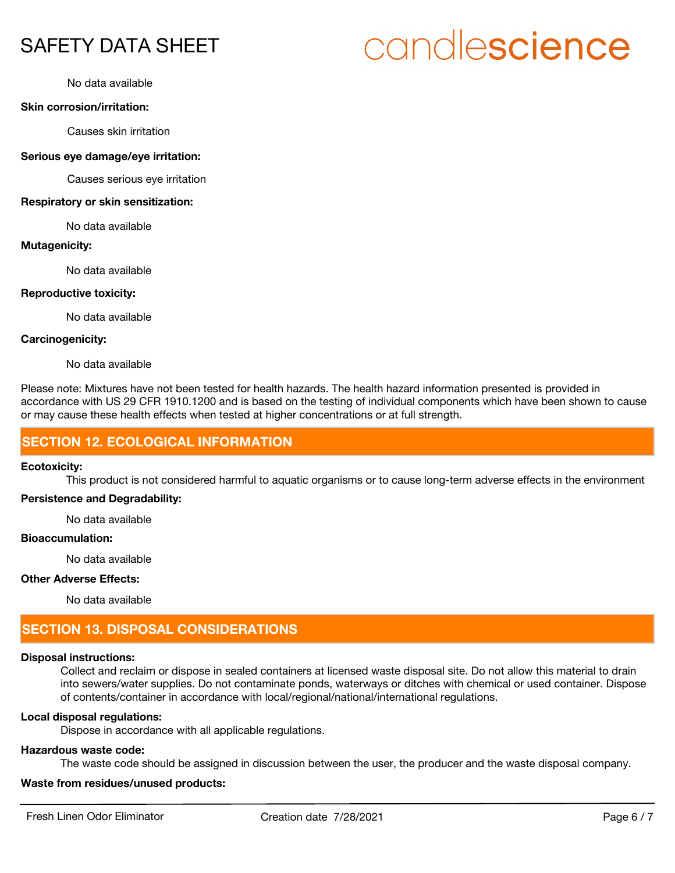## No data available

## **Skin corrosion/irritation:**

Causes skin irritation

#### **Serious eye damage/eye irritation:**

Causes serious eye irritation

#### **Respiratory or skin sensitization:**

No data available

### **Mutagenicity:**

No data available

### **Reproductive toxicity:**

No data available

## **Carcinogenicity:**

No data available

Please note: Mixtures have not been tested for health hazards. The health hazard information presented is provided in accordance with US 29 CFR 1910.1200 and is based on the testing of individual components which have been shown to cause or may cause these health effects when tested at higher concentrations or at full strength.

## **SECTION 12. ECOLOGICAL INFORMATION**

### **Ecotoxicity:**

This product is not considered harmful to aquatic organisms or to cause long-term adverse effects in the environment

## **Persistence and Degradability:**

No data available

## **Bioaccumulation:**

No data available

### **Other Adverse Effects:**

No data available

## **SECTION 13. DISPOSAL CONSIDERATIONS**

## **Disposal instructions:**

Collect and reclaim or dispose in sealed containers at licensed waste disposal site. Do not allow this material to drain into sewers/water supplies. Do not contaminate ponds, waterways or ditches with chemical or used container. Dispose of contents/container in accordance with local/regional/national/international regulations.

## **Local disposal regulations:**

Dispose in accordance with all applicable regulations.

## **Hazardous waste code:**

The waste code should be assigned in discussion between the user, the producer and the waste disposal company.

## **Waste from residues/unused products:**

# candlescience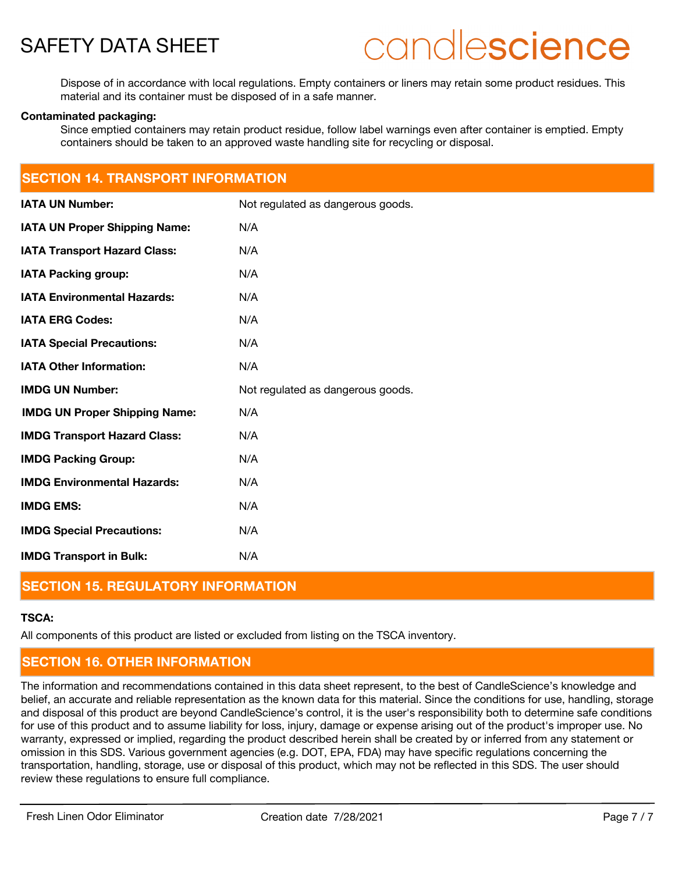

## candlescience

Dispose of in accordance with local regulations. Empty containers or liners may retain some product residues. This material and its container must be disposed of in a safe manner.

### **Contaminated packaging:**

Since emptied containers may retain product residue, follow label warnings even after container is emptied. Empty containers should be taken to an approved waste handling site for recycling or disposal.

## **SECTION 14. TRANSPORT INFORMATION**

| <b>IATA UN Number:</b>               | Not regulated as dangerous goods. |
|--------------------------------------|-----------------------------------|
| <b>IATA UN Proper Shipping Name:</b> | N/A                               |
| <b>IATA Transport Hazard Class:</b>  | N/A                               |
| <b>IATA Packing group:</b>           | N/A                               |
| <b>IATA Environmental Hazards:</b>   | N/A                               |
| <b>IATA ERG Codes:</b>               | N/A                               |
| <b>IATA Special Precautions:</b>     | N/A                               |
| <b>IATA Other Information:</b>       | N/A                               |
|                                      |                                   |
| <b>IMDG UN Number:</b>               | Not regulated as dangerous goods. |
| <b>IMDG UN Proper Shipping Name:</b> | N/A                               |
| <b>IMDG Transport Hazard Class:</b>  | N/A                               |
| <b>IMDG Packing Group:</b>           | N/A                               |
| <b>IMDG Environmental Hazards:</b>   | N/A                               |
| <b>IMDG EMS:</b>                     | N/A                               |
| <b>IMDG Special Precautions:</b>     | N/A                               |

## **SECTION 15. REGULATORY INFORMATION**

## **TSCA:**

All components of this product are listed or excluded from listing on the TSCA inventory.

## **SECTION 16. OTHER INFORMATION**

The information and recommendations contained in this data sheet represent, to the best of CandleScience's knowledge and belief, an accurate and reliable representation as the known data for this material. Since the conditions for use, handling, storage and disposal of this product are beyond CandleScience's control, it is the user's responsibility both to determine safe conditions for use of this product and to assume liability for loss, injury, damage or expense arising out of the product's improper use. No warranty, expressed or implied, regarding the product described herein shall be created by or inferred from any statement or omission in this SDS. Various government agencies (e.g. DOT, EPA, FDA) may have specific regulations concerning the transportation, handling, storage, use or disposal of this product, which may not be reflected in this SDS. The user should review these regulations to ensure full compliance.